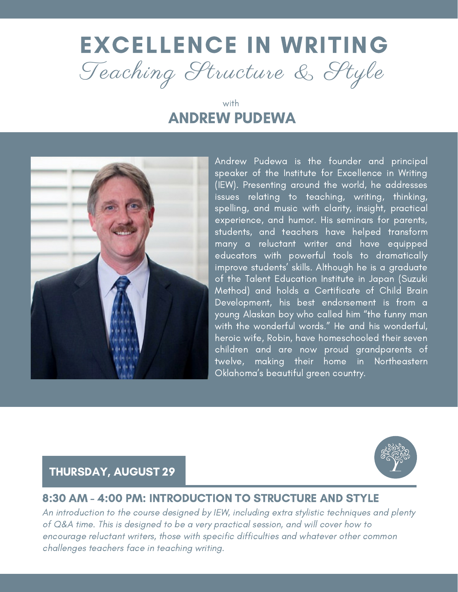# EXCELLENCE IN WRITING Teaching Structure & Style

## with ANDREW PUDEWA



Andrew Pudewa is the founder and principal speaker of the Institute for Excellence in Writing (IEW). Presenting around the world, he addresses issues relating to teaching, writing, thinking, spelling, and music with clarity, insight, practical experience, and humor. His seminars for parents, students, and teachers have helped transform many a reluctant writer and have equipped educators with powerful tools to dramatically improve students' skills. Although he is a graduate of the Talent Education Institute in Japan (Suzuki Method) and holds a Certificate of Child Brain Development, his best endorsement is from a young Alaskan boy who called him "the funny man with the wonderful words." He and his wonderful, heroic wife, Robin, have homeschooled their seven children and are now proud grandparents of twelve, making their home in Northeastern Oklahoma's beautiful green country.

# THURSDAY, AUGUST 29

### 8:30 AM - 4:00 PM: INTRODUCTION TO STRUCTURE AND STYLE

An introduction to the course designed by IEW, including extra stylistic techniques and plenty of Q&A time. This is designed to be a very practical session, and will cover how to encourage reluctant writers, those with specific difficulties and whatever other common challenges teachers face in teaching writing.